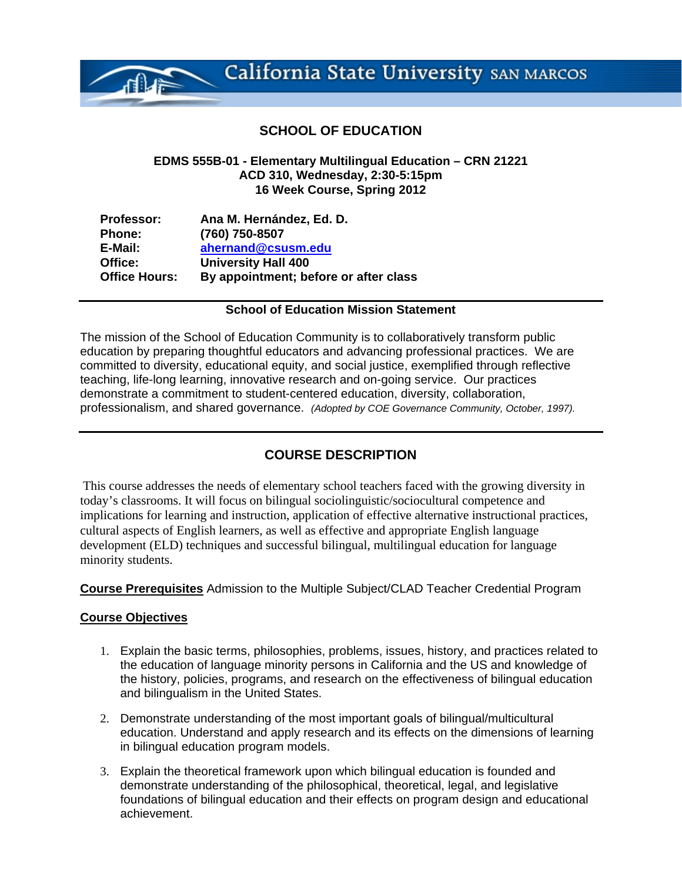# **SCHOOL OF EDUCATION**

#### **EDMS 555B-01 - Elementary Multilingual Education – CRN 21221 ACD 310, Wednesday, 2:30-5:15pm 16 Week Course, Spring 2012**

| <b>Professor:</b>    | Ana M. Hernández, Ed. D.              |
|----------------------|---------------------------------------|
| Phone:               | (760) 750-8507                        |
| E-Mail:              | ahernand@csusm.edu                    |
| Office:              | <b>University Hall 400</b>            |
| <b>Office Hours:</b> | By appointment; before or after class |

# **School of Education Mission Statement**

The mission of the School of Education Community is to collaboratively transform public education by preparing thoughtful educators and advancing professional practices. We are committed to diversity, educational equity, and social justice, exemplified through reflective teaching, life-long learning, innovative research and on-going service. Our practices demonstrate a commitment to student-centered education, diversity, collaboration, professionalism, and shared governance. *(Adopted by COE Governance Community, October, 1997).* 

# **COURSE DESCRIPTION**

This course addresses the needs of elementary school teachers faced with the growing diversity in today's classrooms. It will focus on bilingual sociolinguistic/sociocultural competence and implications for learning and instruction, application of effective alternative instructional practices, cultural aspects of English learners, as well as effective and appropriate English language development (ELD) techniques and successful bilingual, multilingual education for language minority students.

**Course Prerequisites** Admission to the Multiple Subject/CLAD Teacher Credential Program

# **Course Objectives**

- 1. Explain the basic terms, philosophies, problems, issues, history, and practices related to the education of language minority persons in California and the US and knowledge of the history, policies, programs, and research on the effectiveness of bilingual education and bilingualism in the United States.
- 2. Demonstrate understanding of the most important goals of bilingual/multicultural education. Understand and apply research and its effects on the dimensions of learning in bilingual education program models.
- 3. Explain the theoretical framework upon which bilingual education is founded and demonstrate understanding of the philosophical, theoretical, legal, and legislative foundations of bilingual education and their effects on program design and educational achievement.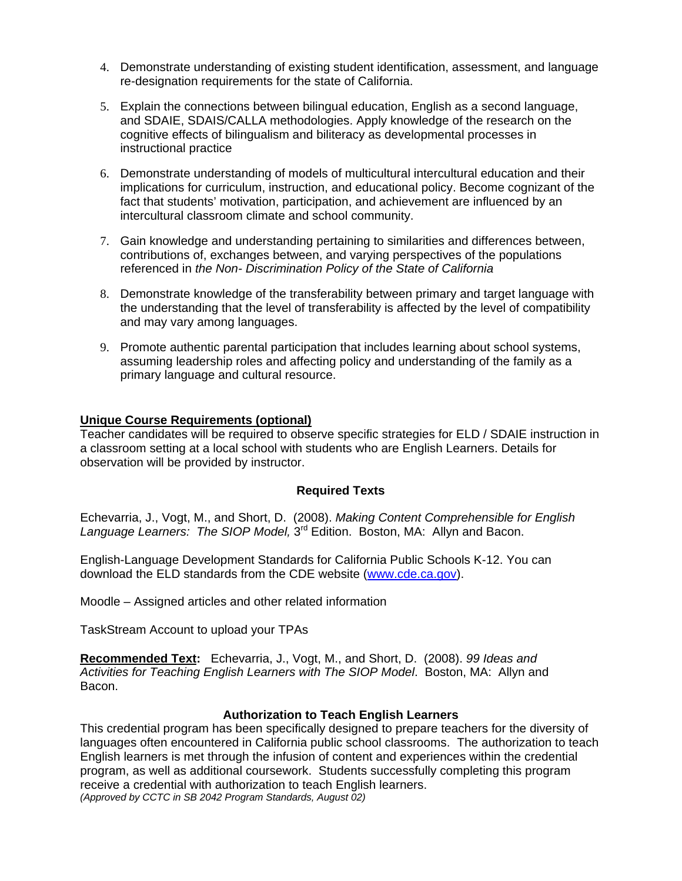- 4. Demonstrate understanding of existing student identification, assessment, and language re-designation requirements for the state of California.
- 5. Explain the connections between bilingual education, English as a second language, and SDAIE, SDAIS/CALLA methodologies. Apply knowledge of the research on the cognitive effects of bilingualism and biliteracy as developmental processes in instructional practice
- 6. Demonstrate understanding of models of multicultural intercultural education and their implications for curriculum, instruction, and educational policy. Become cognizant of the fact that students' motivation, participation, and achievement are influenced by an intercultural classroom climate and school community.
- 7. Gain knowledge and understanding pertaining to similarities and differences between, contributions of, exchanges between, and varying perspectives of the populations referenced in *the Non- Discrimination Policy of the State of California*
- 8. Demonstrate knowledge of the transferability between primary and target language with the understanding that the level of transferability is affected by the level of compatibility and may vary among languages.
- 9. Promote authentic parental participation that includes learning about school systems, assuming leadership roles and affecting policy and understanding of the family as a primary language and cultural resource.

## **Unique Course Requirements (optional)**

Teacher candidates will be required to observe specific strategies for ELD / SDAIE instruction in a classroom setting at a local school with students who are English Learners. Details for observation will be provided by instructor.

#### **Required Texts**

Echevarria, J., Vogt, M., and Short, D. (2008). *Making Content Comprehensible for English*  Language Learners: The SIOP Model, 3<sup>rd</sup> Edition. Boston, MA: Allyn and Bacon.

English-Language Development Standards for California Public Schools K-12. You can download the ELD standards from the CDE website (www.cde.ca.gov).

Moodle – Assigned articles and other related information

TaskStream Account to upload your TPAs

**Recommended Text:** Echevarria, J., Vogt, M., and Short, D. (2008). *99 Ideas and Activities for Teaching English Learners with The SIOP Model*. Boston, MA: Allyn and Bacon.

#### **Authorization to Teach English Learners**

This credential program has been specifically designed to prepare teachers for the diversity of languages often encountered in California public school classrooms. The authorization to teach English learners is met through the infusion of content and experiences within the credential program, as well as additional coursework. Students successfully completing this program receive a credential with authorization to teach English learners. *(Approved by CCTC in SB 2042 Program Standards, August 02)*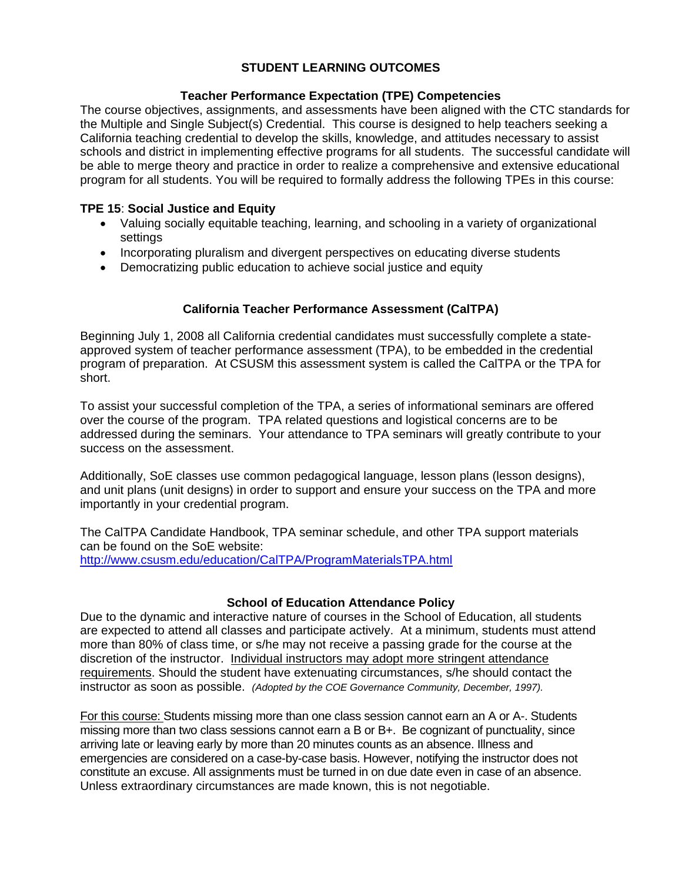# **STUDENT LEARNING OUTCOMES**

# **Teacher Performance Expectation (TPE) Competencies**

The course objectives, assignments, and assessments have been aligned with the CTC standards for the Multiple and Single Subject(s) Credential. This course is designed to help teachers seeking a California teaching credential to develop the skills, knowledge, and attitudes necessary to assist schools and district in implementing effective programs for all students. The successful candidate will be able to merge theory and practice in order to realize a comprehensive and extensive educational program for all students. You will be required to formally address the following TPEs in this course:

# **TPE 15**: **Social Justice and Equity**

- Valuing socially equitable teaching, learning, and schooling in a variety of organizational settings
- Incorporating pluralism and divergent perspectives on educating diverse students
- Democratizing public education to achieve social justice and equity

# **California Teacher Performance Assessment (CalTPA)**

Beginning July 1, 2008 all California credential candidates must successfully complete a stateapproved system of teacher performance assessment (TPA), to be embedded in the credential program of preparation. At CSUSM this assessment system is called the CalTPA or the TPA for short.

To assist your successful completion of the TPA, a series of informational seminars are offered over the course of the program. TPA related questions and logistical concerns are to be addressed during the seminars. Your attendance to TPA seminars will greatly contribute to your success on the assessment.

Additionally, SoE classes use common pedagogical language, lesson plans (lesson designs), and unit plans (unit designs) in order to support and ensure your success on the TPA and more importantly in your credential program.

The CalTPA Candidate Handbook, TPA seminar schedule, and other TPA support materials can be found on the SoE website:

http://www.csusm.edu/education/CalTPA/ProgramMaterialsTPA.html

# **School of Education Attendance Policy**

 instructor as soon as possible. *(Adopted by the COE Governance Community, December, 1997).* Due to the dynamic and interactive nature of courses in the School of Education, all students are expected to attend all classes and participate actively. At a minimum, students must attend more than 80% of class time, or s/he may not receive a passing grade for the course at the discretion of the instructor. Individual instructors may adopt more stringent attendance requirements. Should the student have extenuating circumstances, s/he should contact the

For this course: Students missing more than one class session cannot earn an A or A-. Students missing more than two class sessions cannot earn a B or B+. Be cognizant of punctuality, since arriving late or leaving early by more than 20 minutes counts as an absence. Illness and emergencies are considered on a case-by-case basis. However, notifying the instructor does not constitute an excuse. All assignments must be turned in on due date even in case of an absence. Unless extraordinary circumstances are made known, this is not negotiable.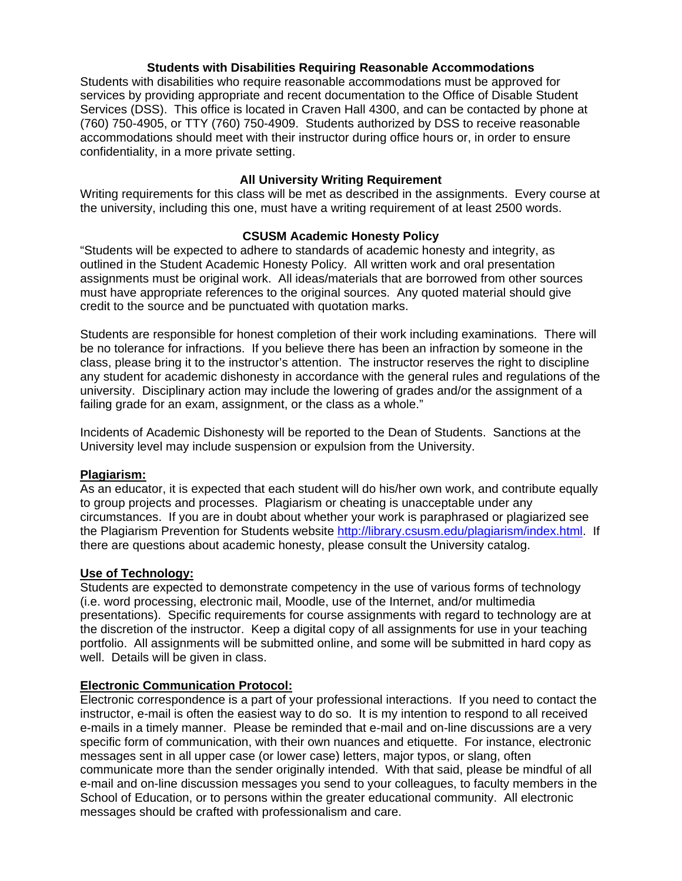## **Students with Disabilities Requiring Reasonable Accommodations**

Students with disabilities who require reasonable accommodations must be approved for services by providing appropriate and recent documentation to the Office of Disable Student Services (DSS). This office is located in Craven Hall 4300, and can be contacted by phone at (760) 750-4905, or TTY (760) 750-4909. Students authorized by DSS to receive reasonable accommodations should meet with their instructor during office hours or, in order to ensure confidentiality, in a more private setting.

#### **All University Writing Requirement**

Writing requirements for this class will be met as described in the assignments. Every course at the university, including this one, must have a writing requirement of at least 2500 words.

## **CSUSM Academic Honesty Policy**

"Students will be expected to adhere to standards of academic honesty and integrity, as outlined in the Student Academic Honesty Policy. All written work and oral presentation assignments must be original work. All ideas/materials that are borrowed from other sources must have appropriate references to the original sources. Any quoted material should give credit to the source and be punctuated with quotation marks.

Students are responsible for honest completion of their work including examinations. There will be no tolerance for infractions. If you believe there has been an infraction by someone in the class, please bring it to the instructor's attention. The instructor reserves the right to discipline any student for academic dishonesty in accordance with the general rules and regulations of the university. Disciplinary action may include the lowering of grades and/or the assignment of a failing grade for an exam, assignment, or the class as a whole."

Incidents of Academic Dishonesty will be reported to the Dean of Students. Sanctions at the University level may include suspension or expulsion from the University.

#### **Plagiarism:**

As an educator, it is expected that each student will do his/her own work, and contribute equally to group projects and processes. Plagiarism or cheating is unacceptable under any circumstances. If you are in doubt about whether your work is paraphrased or plagiarized see the Plagiarism Prevention for Students website http://library.csusm.edu/plagiarism/index.html. If there are questions about academic honesty, please consult the University catalog.

#### **Use of Technology:**

Students are expected to demonstrate competency in the use of various forms of technology (i.e. word processing, electronic mail, Moodle, use of the Internet, and/or multimedia presentations). Specific requirements for course assignments with regard to technology are at the discretion of the instructor. Keep a digital copy of all assignments for use in your teaching portfolio. All assignments will be submitted online, and some will be submitted in hard copy as well. Details will be given in class.

# **Electronic Communication Protocol:**

Electronic correspondence is a part of your professional interactions. If you need to contact the instructor, e-mail is often the easiest way to do so. It is my intention to respond to all received e-mails in a timely manner. Please be reminded that e-mail and on-line discussions are a very specific form of communication, with their own nuances and etiquette. For instance, electronic messages sent in all upper case (or lower case) letters, major typos, or slang, often communicate more than the sender originally intended. With that said, please be mindful of all e-mail and on-line discussion messages you send to your colleagues, to faculty members in the School of Education, or to persons within the greater educational community. All electronic messages should be crafted with professionalism and care.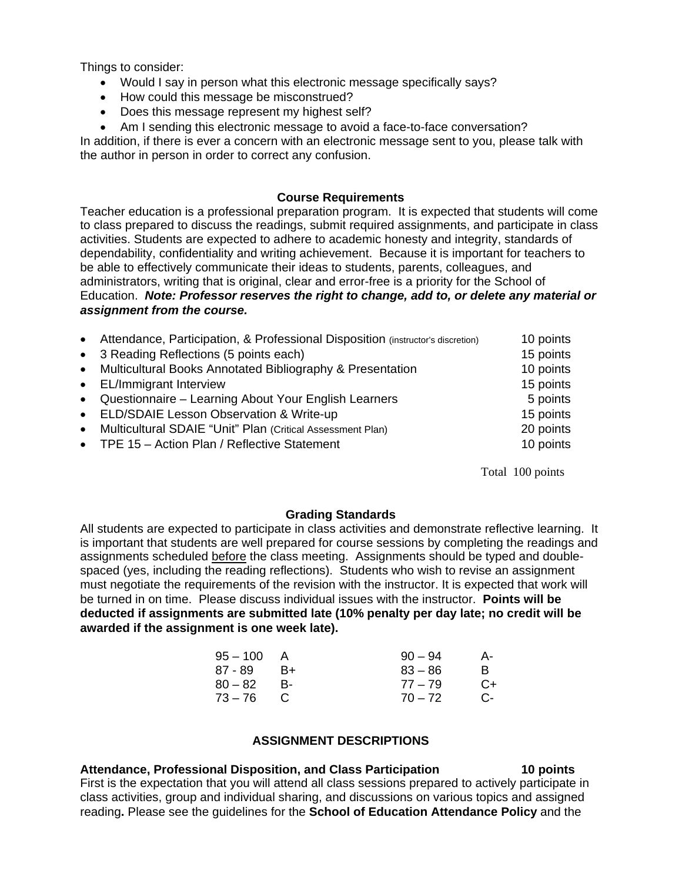Things to consider:

- Would I say in person what this electronic message specifically says?
- How could this message be misconstrued?
- Does this message represent my highest self?
- Am I sending this electronic message to avoid a face-to-face conversation?

In addition, if there is ever a concern with an electronic message sent to you, please talk with the author in person in order to correct any confusion.

#### **Course Requirements**

Teacher education is a professional preparation program. It is expected that students will come to class prepared to discuss the readings, submit required assignments, and participate in class activities. Students are expected to adhere to academic honesty and integrity, standards of dependability, confidentiality and writing achievement. Because it is important for teachers to be able to effectively communicate their ideas to students, parents, colleagues, and administrators, writing that is original, clear and error-free is a priority for the School of Education. *Note: Professor reserves the right to change, add to, or delete any material or assignment from the course.* 

|           | • Attendance, Participation, & Professional Disposition (instructor's discretion) | 10 points |
|-----------|-----------------------------------------------------------------------------------|-----------|
|           | • 3 Reading Reflections (5 points each)                                           | 15 points |
|           | • Multicultural Books Annotated Bibliography & Presentation                       | 10 points |
|           | • EL/Immigrant Interview                                                          | 15 points |
|           | • Questionnaire - Learning About Your English Learners                            | 5 points  |
|           | • ELD/SDAIE Lesson Observation & Write-up                                         | 15 points |
| $\bullet$ | Multicultural SDAIE "Unit" Plan (Critical Assessment Plan)                        | 20 points |
|           | • TPE 15 - Action Plan / Reflective Statement                                     | 10 points |
|           |                                                                                   |           |

Total 100 points

#### **Grading Standards**

All students are expected to participate in class activities and demonstrate reflective learning. It is important that students are well prepared for course sessions by completing the readings and assignments scheduled before the class meeting. Assignments should be typed and doublespaced (yes, including the reading reflections). Students who wish to revise an assignment must negotiate the requirements of the revision with the instructor. It is expected that work will be turned in on time. Please discuss individual issues with the instructor. **Points will be deducted if assignments are submitted late (10% penalty per day late; no credit will be awarded if the assignment is one week late).** 

| A    | $90 - 94$ | А-   |
|------|-----------|------|
| $B+$ | $83 - 86$ | R    |
| - B- | $77 - 79$ | $C+$ |
| - C  | $70 - 72$ | $C-$ |
|      |           |      |

## **ASSIGNMENT DESCRIPTIONS**

#### Attendance, Professional Disposition, and Class Participation **10 points**

First is the expectation that you will attend all class sessions prepared to actively participate in class activities, group and individual sharing, and discussions on various topics and assigned reading**.** Please see the guidelines for the **School of Education Attendance Policy** and the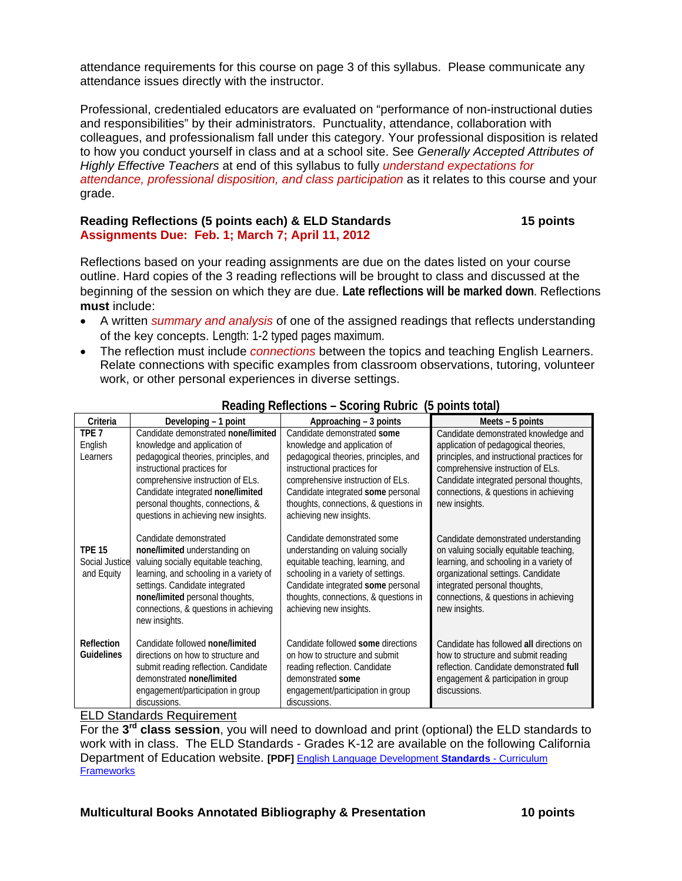attendance requirements for this course on page 3 of this syllabus. Please communicate any attendance issues directly with the instructor.

Professional, credentialed educators are evaluated on "performance of non-instructional duties and responsibilities" by their administrators. Punctuality, attendance, collaboration with colleagues, and professionalism fall under this category. Your professional disposition is related to how you conduct yourself in class and at a school site. See *Generally Accepted Attributes of Highly Effective Teachers* at end of this syllabus to fully *understand expectations for attendance, professional disposition, and class participation* as it relates to this course and your grade.

#### **Reading Reflections (5 points each) & ELD Standards 15 points Assignments Due: Feb. 1; March 7; April 11, 2012**

Reflections based on your reading assignments are due on the dates listed on your course outline. Hard copies of the 3 reading reflections will be brought to class and discussed at the beginning of the session on which they are due. **Late reflections will be marked down**. Reflections **must** include:

- of the key concepts. Length: 1-2 typed pages maximum. A written *summary and analysis* of one of the assigned readings that reflects understanding
- The reflection must include *connections* between the topics and teaching English Learners. Relate connections with specific examples from classroom observations, tutoring, volunteer work, or other personal experiences in diverse settings.

| Criteria                                      | Developing – 1 point                                                                                                                                                                                                                                                                               | Approaching – 3 points                                                                                                                                                                                                                                                             | Meets – 5 points                                                                                                                                                                                                                                                      |
|-----------------------------------------------|----------------------------------------------------------------------------------------------------------------------------------------------------------------------------------------------------------------------------------------------------------------------------------------------------|------------------------------------------------------------------------------------------------------------------------------------------------------------------------------------------------------------------------------------------------------------------------------------|-----------------------------------------------------------------------------------------------------------------------------------------------------------------------------------------------------------------------------------------------------------------------|
| TPE <sub>7</sub><br>English<br>Learners       | Candidate demonstrated none/limited<br>knowledge and application of<br>pedagogical theories, principles, and<br>instructional practices for<br>comprehensive instruction of ELs.<br>Candidate integrated none/limited<br>personal thoughts, connections, &<br>questions in achieving new insights. | Candidate demonstrated some<br>knowledge and application of<br>pedagogical theories, principles, and<br>instructional practices for<br>comprehensive instruction of ELs.<br>Candidate integrated some personal<br>thoughts, connections, & questions in<br>achieving new insights. | Candidate demonstrated knowledge and<br>application of pedagogical theories,<br>principles, and instructional practices for<br>comprehensive instruction of ELs.<br>Candidate integrated personal thoughts,<br>connections, & questions in achieving<br>new insights. |
| <b>TPE 15</b><br>Social Justice<br>and Equity | Candidate demonstrated<br>none/limited understanding on<br>valuing socially equitable teaching,<br>learning, and schooling in a variety of<br>settings. Candidate integrated<br>none/limited personal thoughts,<br>connections, & questions in achieving<br>new insights.                          | Candidate demonstrated some<br>understanding on valuing socially<br>equitable teaching, learning, and<br>schooling in a variety of settings.<br>Candidate integrated some personal<br>thoughts, connections, & questions in<br>achieving new insights.                             | Candidate demonstrated understanding<br>on valuing socially equitable teaching,<br>learning, and schooling in a variety of<br>organizational settings. Candidate<br>integrated personal thoughts,<br>connections, & questions in achieving<br>new insights.           |
| Reflection<br><b>Guidelines</b>               | Candidate followed none/limited<br>directions on how to structure and<br>submit reading reflection. Candidate<br>demonstrated none/limited<br>engagement/participation in group<br>discussions.                                                                                                    | Candidate followed some directions<br>on how to structure and submit<br>reading reflection. Candidate<br>demonstrated some<br>engagement/participation in group<br>discussions.                                                                                                    | Candidate has followed all directions on<br>how to structure and submit reading<br>reflection. Candidate demonstrated full<br>engagement & participation in group<br>discussions.                                                                                     |

# **Reading Reflections – Scoring Rubric (5 points total)**

ELD Standards Requirement

For the **3rd class session**, you will need to download and print (optional) the ELD standards to work with in class. The ELD Standards - Grades K-12 are available on the following California Department of Education website. **[PDF]** English Language Development **Standards** - Curriculum **Frameworks**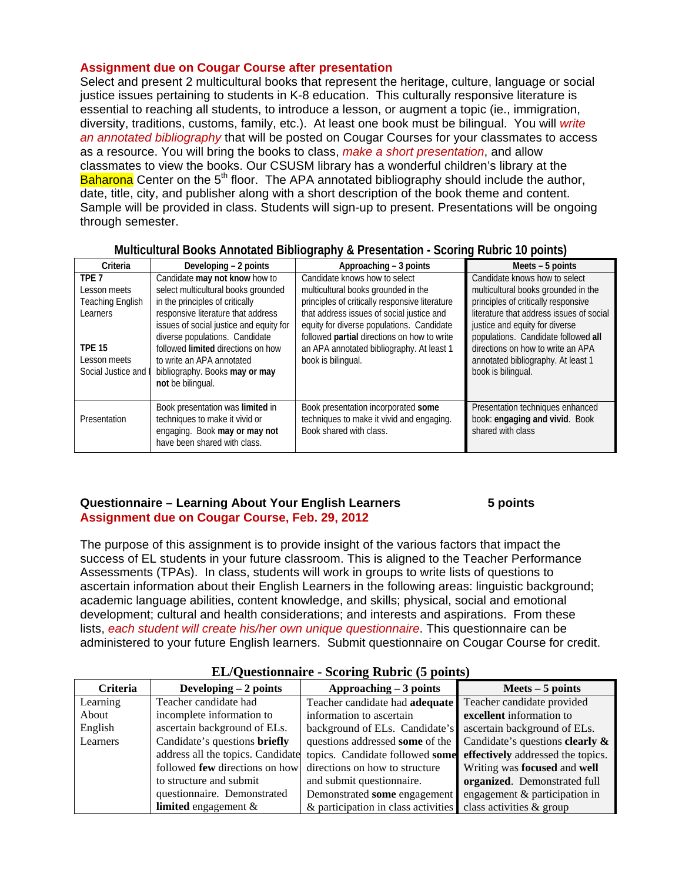# **Assignment due on Cougar Course after presentation**

Select and present 2 multicultural books that represent the heritage, culture, language or social justice issues pertaining to students in K-8 education. This culturally responsive literature is essential to reaching all students, to introduce a lesson, or augment a topic (ie., immigration, diversity, traditions, customs, family, etc.). At least one book must be bilingual. You will *write an annotated bibliography* that will be posted on Cougar Courses for your classmates to access as a resource. You will bring the books to class, *make a short presentation*, and allow classmates to view the books. Our CSUSM library has a wonderful children's library at the **Baharona** Center on the  $5<sup>th</sup>$  floor. The APA annotated bibliography should include the author, date, title, city, and publisher along with a short description of the book theme and content. Sample will be provided in class. Students will sign-up to present. Presentations will be ongoing through semester.

|                         |                                         |                                                | . <i>.</i>                               |
|-------------------------|-----------------------------------------|------------------------------------------------|------------------------------------------|
| Criteria                | Developing - 2 points                   | Approaching – 3 points                         | Meets - 5 points                         |
| TPF <sub>7</sub>        | Candidate may not know how to           | Candidate knows how to select                  | Candidate knows how to select            |
| Lesson meets            | select multicultural books grounded     | multicultural books grounded in the            | multicultural books grounded in the      |
| <b>Teaching English</b> | in the principles of critically         | principles of critically responsive literature | principles of critically responsive      |
| Learners                | responsive literature that address      | that address issues of social justice and      | literature that address issues of social |
|                         | issues of social justice and equity for | equity for diverse populations. Candidate      | justice and equity for diverse           |
|                         | diverse populations. Candidate          | followed partial directions on how to write    | populations. Candidate followed all      |
| <b>TPF 15</b>           | followed limited directions on how      | an APA annotated bibliography. At least 1      | directions on how to write an APA        |
| Lesson meets            | to write an APA annotated               | book is bilingual.                             | annotated bibliography. At least 1       |
| Social Justice and      | bibliography. Books may or may          |                                                | book is bilingual.                       |
|                         | not be bilingual.                       |                                                |                                          |
|                         |                                         |                                                |                                          |
|                         | Book presentation was limited in        | Book presentation incorporated some            | Presentation techniques enhanced         |
| <b>Presentation</b>     | techniques to make it vivid or          | techniques to make it vivid and engaging.      | book: engaging and vivid. Book           |
|                         | engaging. Book may or may not           | Book shared with class.                        | shared with class                        |
|                         | have been shared with class.            |                                                |                                          |

# **Multicultural Books Annotated Bibliography & Presentation - Scoring Rubric 10 points)**

## **Questionnaire – Learning About Your English Learners 6 5 points Assignment due on Cougar Course, Feb. 29, 2012**

The purpose of this assignment is to provide insight of the various factors that impact the success of EL students in your future classroom. This is aligned to the Teacher Performance Assessments (TPAs). In class, students will work in groups to write lists of questions to ascertain information about their English Learners in the following areas: linguistic background; academic language abilities, content knowledge, and skills; physical, social and emotional development; cultural and health considerations; and interests and aspirations. From these lists, *each student will create his/her own unique questionnaire*. This questionnaire can be administered to your future English learners. Submit questionnaire on Cougar Course for credit.

| Criteria | Developing $-2$ points            | Approaching $-3$ points                                          | $Meets - 5 points$                                       |
|----------|-----------------------------------|------------------------------------------------------------------|----------------------------------------------------------|
| Learning | Teacher candidate had             | Teacher candidate had <b>adequate</b> Teacher candidate provided |                                                          |
| About    | incomplete information to         | information to ascertain                                         | excellent information to                                 |
| English  | ascertain background of ELs.      | background of ELs. Candidate's                                   | ascertain background of ELs.                             |
| Learners | Candidate's questions briefly     | questions addressed some of the                                  | Candidate's questions <b>clearly <math>\&amp;</math></b> |
|          | address all the topics. Candidate | topics. Candidate followed some                                  | effectively addressed the topics.                        |
|          | followed few directions on how    | directions on how to structure                                   | Writing was focused and well                             |
|          | to structure and submit           | and submit questionnaire.                                        | organized. Demonstrated full                             |
|          | questionnaire. Demonstrated       | Demonstrated some engagement                                     | engagement & participation in                            |
|          | limited engagement $\&$           | & participation in class activities                              | class activities & group                                 |

#### **EL/Questionnaire - Scoring Rubric (5 points)**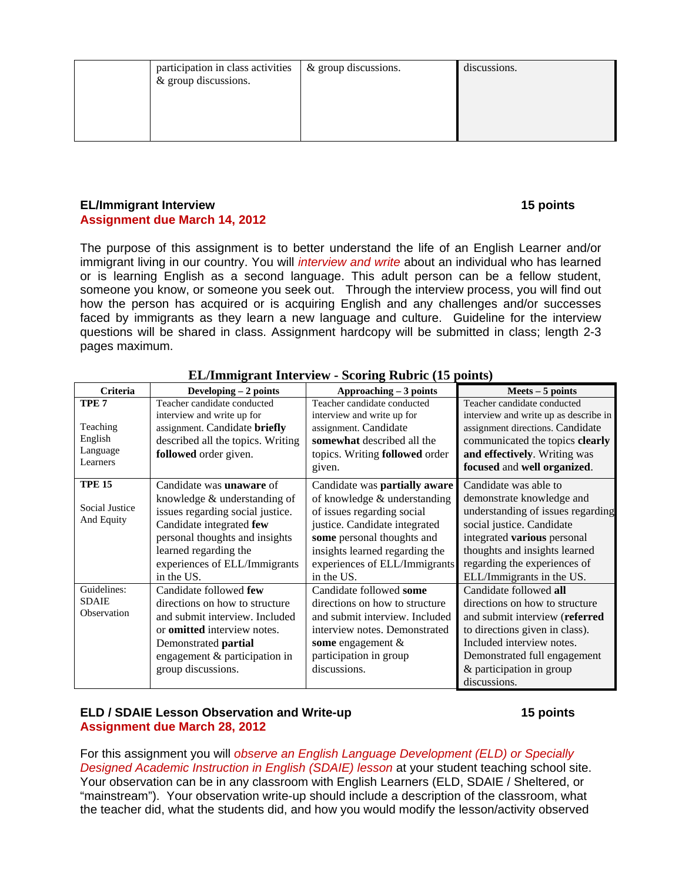| participation in class activities<br>& group discussions. | & group discussions. | discussions. |
|-----------------------------------------------------------|----------------------|--------------|
|                                                           |                      |              |

#### **EL/Immigrant Interview 15 points Assignment due March 14, 2012**

The purpose of this assignment is to better understand the life of an English Learner and/or immigrant living in our country. You will *interview and write* about an individual who has learned or is learning English as a second language. This adult person can be a fellow student, someone you know, or someone you seek out. Through the interview process, you will find out how the person has acquired or is acquiring English and any challenges and/or successes faced by immigrants as they learn a new language and culture. Guideline for the interview questions will be shared in class. Assignment hardcopy will be submitted in class; length 2-3 pages maximum.

| Criteria         | Developing $-2$ points             | Approaching - 3 points         | $Meets - 5 points$                    |
|------------------|------------------------------------|--------------------------------|---------------------------------------|
| TPE <sub>7</sub> | Teacher candidate conducted        | Teacher candidate conducted    | Teacher candidate conducted           |
|                  | interview and write up for         | interview and write up for     | interview and write up as describe in |
| Teaching         | assignment. Candidate briefly      | assignment. Candidate          | assignment directions. Candidate      |
| English          | described all the topics. Writing  | somewhat described all the     | communicated the topics clearly       |
| Language         | followed order given.              | topics. Writing followed order | and effectively. Writing was          |
| Learners         |                                    | given.                         | focused and well organized.           |
| <b>TPE 15</b>    | Candidate was <b>unaware</b> of    | Candidate was partially aware  | Candidate was able to                 |
|                  | knowledge & understanding of       | of knowledge & understanding   | demonstrate knowledge and             |
| Social Justice   | issues regarding social justice.   | of issues regarding social     | understanding of issues regarding     |
| And Equity       | Candidate integrated few           | justice. Candidate integrated  | social justice. Candidate             |
|                  | personal thoughts and insights     | some personal thoughts and     | integrated various personal           |
|                  | learned regarding the              | insights learned regarding the | thoughts and insights learned         |
|                  | experiences of ELL/Immigrants      | experiences of ELL/Immigrants  | regarding the experiences of          |
|                  | in the US.                         | in the US.                     | ELL/Immigrants in the US.             |
| Guidelines:      | Candidate followed few             | Candidate followed some        | Candidate followed all                |
| <b>SDAIE</b>     | directions on how to structure     | directions on how to structure | directions on how to structure        |
| Observation      | and submit interview. Included     | and submit interview. Included | and submit interview (referred        |
|                  | or <b>omitted</b> interview notes. | interview notes. Demonstrated  | to directions given in class).        |
|                  | Demonstrated partial               | some engagement $\&$           | Included interview notes.             |
|                  | engagement & participation in      | participation in group         | Demonstrated full engagement          |
|                  | group discussions.                 | discussions.                   | & participation in group              |
|                  |                                    |                                | discussions.                          |

# **EL/Immigrant Interview - Scoring Rubric (15 points)**

# **ELD / SDAIE Lesson Observation and Write-up 15 points Assignment due March 28, 2012**

For this assignment you will *observe an English Language Development (ELD) or Specially Designed Academic Instruction in English (SDAIE) lesson* at your student teaching school site. Your observation can be in any classroom with English Learners (ELD, SDAIE / Sheltered, or "mainstream"). Your observation write-up should include a description of the classroom, what the teacher did, what the students did, and how you would modify the lesson/activity observed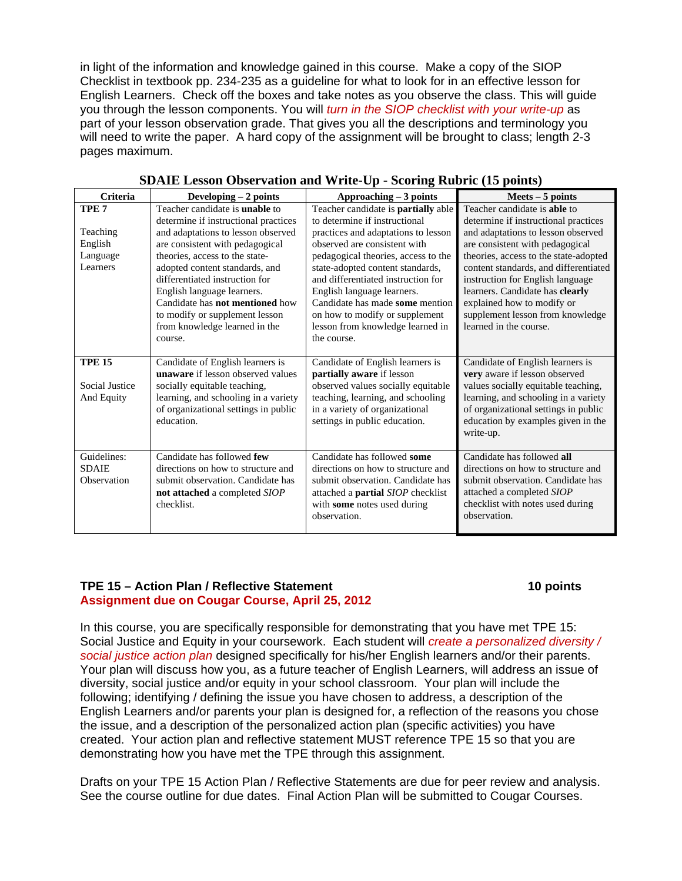in light of the information and knowledge gained in this course. Make a copy of the SIOP Checklist in textbook pp. 234-235 as a guideline for what to look for in an effective lesson for English Learners. Check off the boxes and take notes as you observe the class. This will guide you through the lesson components. You will *turn in the SIOP checklist with your write-up* as part of your lesson observation grade. That gives you all the descriptions and terminology you will need to write the paper. A hard copy of the assignment will be brought to class; length 2-3 pages maximum.

| Criteria                                                        | Developing $-2$ points                                                                                                                                                                                                                                                                                                                                                                                             | Approaching - 3 points                                                                                                                                                                                                                                                                                                                                                                                                    | $Mets - 5 points$                                                                                                                                                                                                                                                                                                                                                                                         |
|-----------------------------------------------------------------|--------------------------------------------------------------------------------------------------------------------------------------------------------------------------------------------------------------------------------------------------------------------------------------------------------------------------------------------------------------------------------------------------------------------|---------------------------------------------------------------------------------------------------------------------------------------------------------------------------------------------------------------------------------------------------------------------------------------------------------------------------------------------------------------------------------------------------------------------------|-----------------------------------------------------------------------------------------------------------------------------------------------------------------------------------------------------------------------------------------------------------------------------------------------------------------------------------------------------------------------------------------------------------|
| TPE <sub>7</sub><br>Teaching<br>English<br>Language<br>Learners | Teacher candidate is <b>unable</b> to<br>determine if instructional practices<br>and adaptations to lesson observed<br>are consistent with pedagogical<br>theories, access to the state-<br>adopted content standards, and<br>differentiated instruction for<br>English language learners.<br>Candidate has <b>not mentioned</b> how<br>to modify or supplement lesson<br>from knowledge learned in the<br>course. | Teacher candidate is <b>partially</b> able<br>to determine if instructional<br>practices and adaptations to lesson<br>observed are consistent with<br>pedagogical theories, access to the<br>state-adopted content standards,<br>and differentiated instruction for<br>English language learners.<br>Candidate has made some mention<br>on how to modify or supplement<br>lesson from knowledge learned in<br>the course. | Teacher candidate is <b>able</b> to<br>determine if instructional practices<br>and adaptations to lesson observed<br>are consistent with pedagogical<br>theories, access to the state-adopted<br>content standards, and differentiated<br>instruction for English language<br>learners. Candidate has clearly<br>explained how to modify or<br>supplement lesson from knowledge<br>learned in the course. |
| <b>TPE 15</b><br>Social Justice<br>And Equity                   | Candidate of English learners is<br><b>unaware</b> if lesson observed values<br>socially equitable teaching,<br>learning, and schooling in a variety<br>of organizational settings in public<br>education.                                                                                                                                                                                                         | Candidate of English learners is<br>partially aware if lesson<br>observed values socially equitable<br>teaching, learning, and schooling<br>in a variety of organizational<br>settings in public education.                                                                                                                                                                                                               | Candidate of English learners is<br>very aware if lesson observed<br>values socially equitable teaching,<br>learning, and schooling in a variety<br>of organizational settings in public<br>education by examples given in the<br>write-up.                                                                                                                                                               |
| Guidelines:<br><b>SDAIE</b><br>Observation                      | Candidate has followed few<br>directions on how to structure and<br>submit observation. Candidate has<br>not attached a completed SIOP<br>checklist.                                                                                                                                                                                                                                                               | Candidate has followed some<br>directions on how to structure and<br>submit observation. Candidate has<br>attached a <b>partial</b> SIOP checklist<br>with some notes used during<br>observation.                                                                                                                                                                                                                         | Candidate has followed all<br>directions on how to structure and<br>submit observation. Candidate has<br>attached a completed SIOP<br>checklist with notes used during<br>observation.                                                                                                                                                                                                                    |

| <b>SDAIE Lesson Observation and Write-Up - Scoring Rubric (15 points)</b> |  |
|---------------------------------------------------------------------------|--|
|---------------------------------------------------------------------------|--|

#### **TPE 15 – Action Plan / Reflective Statement 10 points 10 points 10 points Assignment due on Cougar Course, April 25, 2012**

In this course, you are specifically responsible for demonstrating that you have met TPE 15: Social Justice and Equity in your coursework. Each student will *create a personalized diversity / social justice action plan* designed specifically for his/her English learners and/or their parents. Your plan will discuss how you, as a future teacher of English Learners, will address an issue of diversity, social justice and/or equity in your school classroom. Your plan will include the following; identifying / defining the issue you have chosen to address, a description of the English Learners and/or parents your plan is designed for, a reflection of the reasons you chose the issue, and a description of the personalized action plan (specific activities) you have created. Your action plan and reflective statement MUST reference TPE 15 so that you are demonstrating how you have met the TPE through this assignment.

Drafts on your TPE 15 Action Plan / Reflective Statements are due for peer review and analysis. See the course outline for due dates. Final Action Plan will be submitted to Cougar Courses.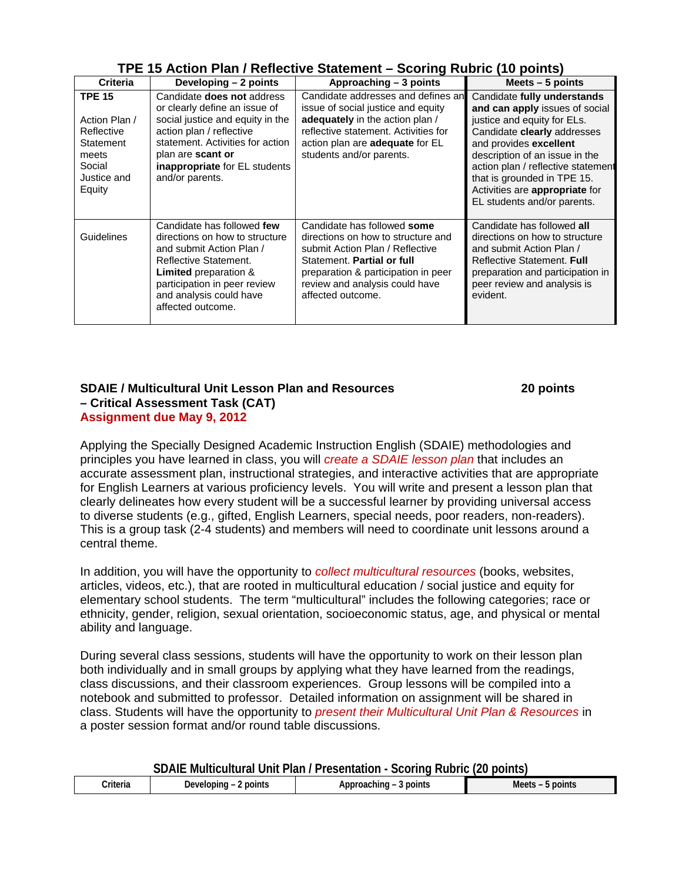| TPE 15 Action Plan / Reflective Statement - Scoring Rubric (10 points) |
|------------------------------------------------------------------------|
|------------------------------------------------------------------------|

| <b>Criteria</b>                                                                                       | Developing – 2 points                                                                                                                                                                                                                                  | Approaching – 3 points                                                                                                                                                                                                           | Meets $-5$ points                                                                                                                                                                                                                                                                                                             |
|-------------------------------------------------------------------------------------------------------|--------------------------------------------------------------------------------------------------------------------------------------------------------------------------------------------------------------------------------------------------------|----------------------------------------------------------------------------------------------------------------------------------------------------------------------------------------------------------------------------------|-------------------------------------------------------------------------------------------------------------------------------------------------------------------------------------------------------------------------------------------------------------------------------------------------------------------------------|
| <b>TPE 15</b><br>Action Plan /<br>Reflective<br>Statement<br>meets<br>Social<br>Justice and<br>Equity | Candidate <b>does not</b> address<br>or clearly define an issue of<br>social justice and equity in the<br>action plan / reflective<br>statement. Activities for action<br>plan are scant or<br><b>inappropriate</b> for EL students<br>and/or parents. | Candidate addresses and defines an<br>issue of social justice and equity<br>adequately in the action plan /<br>reflective statement. Activities for<br>action plan are <b>adequate</b> for EL<br>students and/or parents.        | Candidate fully understands<br>and can apply issues of social<br>justice and equity for ELs.<br>Candidate clearly addresses<br>and provides excellent<br>description of an issue in the<br>action plan / reflective statement<br>that is grounded in TPE 15.<br>Activities are appropriate for<br>EL students and/or parents. |
| Guidelines                                                                                            | Candidate has followed few<br>directions on how to structure<br>and submit Action Plan /<br>Reflective Statement.<br><b>Limited</b> preparation &<br>participation in peer review<br>and analysis could have<br>affected outcome.                      | Candidate has followed some<br>directions on how to structure and<br>submit Action Plan / Reflective<br>Statement. Partial or full<br>preparation & participation in peer<br>review and analysis could have<br>affected outcome. | Candidate has followed all<br>directions on how to structure<br>and submit Action Plan /<br><b>Reflective Statement. Full</b><br>preparation and participation in<br>peer review and analysis is<br>evident.                                                                                                                  |

#### **SDAIE / Multicultural Unit Lesson Plan and Resources 20 points – Critical Assessment Task (CAT) Assignment due May 9, 2012**

Applying the Specially Designed Academic Instruction English (SDAIE) methodologies and principles you have learned in class, you will *create a SDAIE lesson plan* that includes an accurate assessment plan, instructional strategies, and interactive activities that are appropriate for English Learners at various proficiency levels. You will write and present a lesson plan that clearly delineates how every student will be a successful learner by providing universal access to diverse students (e.g., gifted, English Learners, special needs, poor readers, non-readers). This is a group task (2-4 students) and members will need to coordinate unit lessons around a central theme.

In addition, you will have the opportunity to *collect multicultural resources* (books, websites, articles, videos, etc.), that are rooted in multicultural education / social justice and equity for elementary school students. The term "multicultural" includes the following categories; race or ethnicity, gender, religion, sexual orientation, socioeconomic status, age, and physical or mental ability and language.

During several class sessions, students will have the opportunity to work on their lesson plan both individually and in small groups by applying what they have learned from the readings, class discussions, and their classroom experiences. Group lessons will be compiled into a notebook and submitted to professor. Detailed information on assignment will be shared in class. Students will have the opportunity to *present their Multicultural Unit Plan & Resources* in a poster session format and/or round table discussions.

| SDAIE Multicultural Unit Plan / Presentation - Scoring Rubric (20 points) |  |  |  |
|---------------------------------------------------------------------------|--|--|--|
|---------------------------------------------------------------------------|--|--|--|

| .<br>`riteria<br>. | noint<br>the contract of the contract of the<br>. . | . . <b>.</b><br>noint<br>$\sim$ $\sim$ | --<br>M<br>мш. |
|--------------------|-----------------------------------------------------|----------------------------------------|----------------|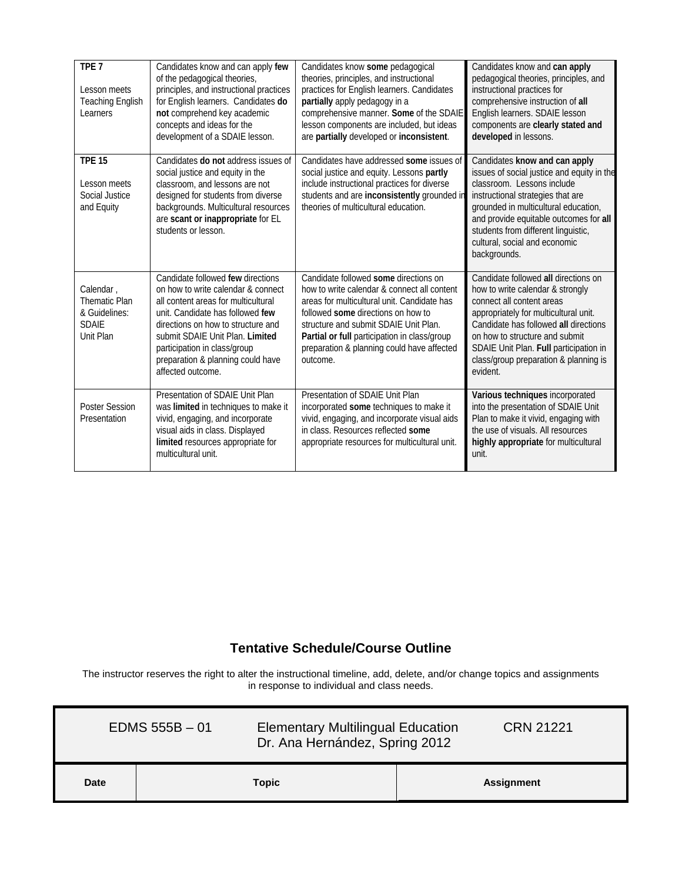| TPE <sub>7</sub><br>Lesson meets<br><b>Teaching English</b><br>Learners         | Candidates know and can apply few<br>of the pedagogical theories,<br>principles, and instructional practices<br>for English learners. Candidates do<br>not comprehend key academic<br>concepts and ideas for the<br>development of a SDAIE lesson.                                                                    | Candidates know some pedagogical<br>theories, principles, and instructional<br>practices for English learners. Candidates<br>partially apply pedagogy in a<br>comprehensive manner. Some of the SDAIE<br>lesson components are included, but ideas<br>are partially developed or inconsistent.                               | Candidates know and can apply<br>pedagogical theories, principles, and<br>instructional practices for<br>comprehensive instruction of all<br>English learners. SDAIE lesson<br>components are clearly stated and<br>developed in lessons.                                                                                |
|---------------------------------------------------------------------------------|-----------------------------------------------------------------------------------------------------------------------------------------------------------------------------------------------------------------------------------------------------------------------------------------------------------------------|------------------------------------------------------------------------------------------------------------------------------------------------------------------------------------------------------------------------------------------------------------------------------------------------------------------------------|--------------------------------------------------------------------------------------------------------------------------------------------------------------------------------------------------------------------------------------------------------------------------------------------------------------------------|
| <b>TPE 15</b><br>Lesson meets<br>Social Justice<br>and Equity                   | Candidates do not address issues of<br>social justice and equity in the<br>classroom, and lessons are not<br>designed for students from diverse<br>backgrounds. Multicultural resources<br>are scant or inappropriate for EL<br>students or lesson.                                                                   | Candidates have addressed some issues of<br>social justice and equity. Lessons partly<br>include instructional practices for diverse<br>students and are inconsistently grounded in<br>theories of multicultural education.                                                                                                  | Candidates know and can apply<br>issues of social justice and equity in the<br>classroom. Lessons include<br>instructional strategies that are<br>grounded in multicultural education,<br>and provide equitable outcomes for all<br>students from different linguistic,<br>cultural, social and economic<br>backgrounds. |
| Calendar,<br><b>Thematic Plan</b><br>& Guidelines:<br><b>SDAIE</b><br>Unit Plan | Candidate followed few directions<br>on how to write calendar & connect<br>all content areas for multicultural<br>unit. Candidate has followed few<br>directions on how to structure and<br>submit SDAIE Unit Plan. Limited<br>participation in class/group<br>preparation & planning could have<br>affected outcome. | Candidate followed some directions on<br>how to write calendar & connect all content<br>areas for multicultural unit. Candidate has<br>followed some directions on how to<br>structure and submit SDAIE Unit Plan.<br>Partial or full participation in class/group<br>preparation & planning could have affected<br>outcome. | Candidate followed all directions on<br>how to write calendar & strongly<br>connect all content areas<br>appropriately for multicultural unit.<br>Candidate has followed all directions<br>on how to structure and submit<br>SDAIE Unit Plan. Full participation in<br>class/group preparation & planning is<br>evident. |
| <b>Poster Session</b><br>Presentation                                           | Presentation of SDAIE Unit Plan<br>was limited in techniques to make it<br>vivid, engaging, and incorporate<br>visual aids in class. Displayed<br>limited resources appropriate for<br>multicultural unit.                                                                                                            | Presentation of SDAIE Unit Plan<br>incorporated some techniques to make it<br>vivid, engaging, and incorporate visual aids<br>in class. Resources reflected some<br>appropriate resources for multicultural unit.                                                                                                            | Various techniques incorporated<br>into the presentation of SDAIE Unit<br>Plan to make it vivid, engaging with<br>the use of visuals. All resources<br>highly appropriate for multicultural<br>unit.                                                                                                                     |

# **Tentative Schedule/Course Outline**

The instructor reserves the right to alter the instructional timeline, add, delete, and/or change topics and assignments in response to individual and class needs.

Ŧ

r

| $EDMS 555B - 01$<br><b>Elementary Multilingual Education</b><br>Dr. Ana Hernández, Spring 2012 |       | <b>CRN 21221</b> |  |                   |
|------------------------------------------------------------------------------------------------|-------|------------------|--|-------------------|
| Date                                                                                           | Topic |                  |  | <b>Assignment</b> |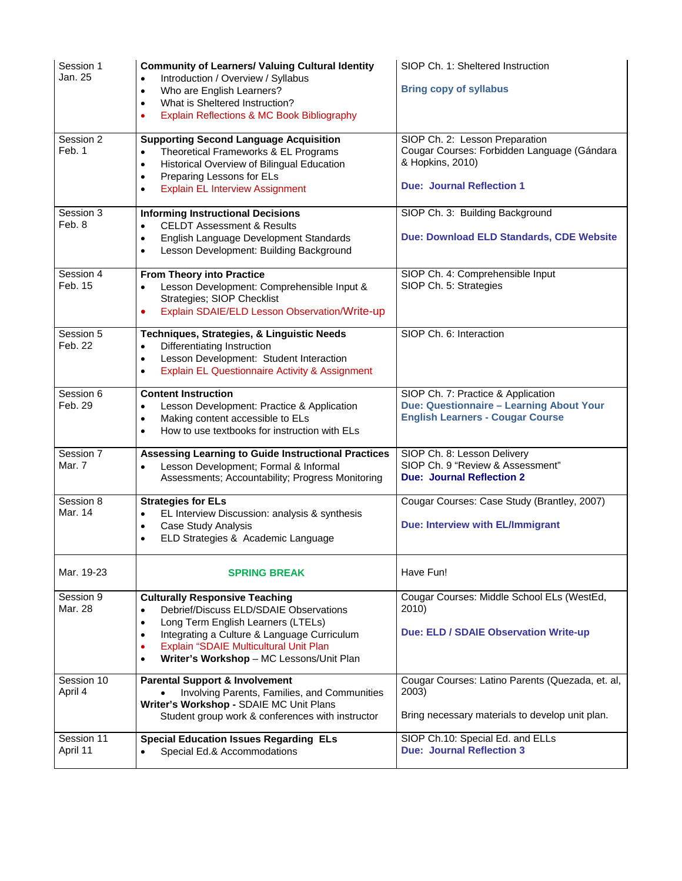| Session 1<br>Jan. 25   | <b>Community of Learners/ Valuing Cultural Identity</b><br>Introduction / Overview / Syllabus<br>$\bullet$<br>Who are English Learners?<br>$\bullet$<br>What is Sheltered Instruction?<br>$\bullet$<br>Explain Reflections & MC Book Bibliography<br>$\bullet$                                                              | SIOP Ch. 1: Sheltered Instruction<br><b>Bring copy of syllabus</b>                                                                    |
|------------------------|-----------------------------------------------------------------------------------------------------------------------------------------------------------------------------------------------------------------------------------------------------------------------------------------------------------------------------|---------------------------------------------------------------------------------------------------------------------------------------|
| Session 2<br>Feb. 1    | <b>Supporting Second Language Acquisition</b><br>Theoretical Frameworks & EL Programs<br>$\bullet$<br>Historical Overview of Bilingual Education<br>$\bullet$<br>Preparing Lessons for ELs<br>$\bullet$<br><b>Explain EL Interview Assignment</b><br>$\bullet$                                                              | SIOP Ch. 2: Lesson Preparation<br>Cougar Courses: Forbidden Language (Gándara<br>& Hopkins, 2010)<br><b>Due: Journal Reflection 1</b> |
| Session 3<br>Feb. 8    | <b>Informing Instructional Decisions</b><br><b>CELDT Assessment &amp; Results</b><br>$\bullet$<br>English Language Development Standards<br>$\bullet$<br>Lesson Development: Building Background<br>$\bullet$                                                                                                               | SIOP Ch. 3: Building Background<br>Due: Download ELD Standards, CDE Website                                                           |
| Session 4<br>Feb. 15   | From Theory into Practice<br>Lesson Development: Comprehensible Input &<br>$\bullet$<br>Strategies; SIOP Checklist<br>Explain SDAIE/ELD Lesson Observation/Write-up<br>$\bullet$                                                                                                                                            | SIOP Ch. 4: Comprehensible Input<br>SIOP Ch. 5: Strategies                                                                            |
| Session 5<br>Feb. 22   | Techniques, Strategies, & Linguistic Needs<br>Differentiating Instruction<br>$\bullet$<br>Lesson Development: Student Interaction<br>$\bullet$<br>Explain EL Questionnaire Activity & Assignment<br>$\bullet$                                                                                                               | SIOP Ch. 6: Interaction                                                                                                               |
| Session 6<br>Feb. 29   | <b>Content Instruction</b><br>Lesson Development: Practice & Application<br>$\bullet$<br>Making content accessible to ELs<br>$\bullet$<br>How to use textbooks for instruction with ELs<br>$\bullet$                                                                                                                        | SIOP Ch. 7: Practice & Application<br>Due: Questionnaire - Learning About Your<br><b>English Learners - Cougar Course</b>             |
| Session 7<br>Mar. 7    | <b>Assessing Learning to Guide Instructional Practices</b><br>Lesson Development; Formal & Informal<br>$\bullet$<br>Assessments; Accountability; Progress Monitoring                                                                                                                                                        | SIOP Ch. 8: Lesson Delivery<br>SIOP Ch. 9 "Review & Assessment"<br><b>Due: Journal Reflection 2</b>                                   |
| Session 8<br>Mar. 14   | <b>Strategies for ELs</b><br>EL Interview Discussion: analysis & synthesis<br>$\bullet$<br>Case Study Analysis<br>$\bullet$<br>ELD Strategies & Academic Language<br>$\bullet$                                                                                                                                              | Cougar Courses: Case Study (Brantley, 2007)<br>Due: Interview with EL/Immigrant                                                       |
| Mar. 19-23             | <b>SPRING BREAK</b>                                                                                                                                                                                                                                                                                                         | Have Fun!                                                                                                                             |
| Session 9<br>Mar. 28   | <b>Culturally Responsive Teaching</b><br>Debrief/Discuss ELD/SDAIE Observations<br>$\bullet$<br>Long Term English Learners (LTELs)<br>$\bullet$<br>Integrating a Culture & Language Curriculum<br>$\bullet$<br>Explain "SDAIE Multicultural Unit Plan<br>$\bullet$<br>Writer's Workshop - MC Lessons/Unit Plan<br>$\bullet$ | Cougar Courses: Middle School ELs (WestEd,<br>2010)<br>Due: ELD / SDAIE Observation Write-up                                          |
| Session 10<br>April 4  | <b>Parental Support &amp; Involvement</b><br>Involving Parents, Families, and Communities<br>Writer's Workshop - SDAIE MC Unit Plans<br>Student group work & conferences with instructor                                                                                                                                    | Cougar Courses: Latino Parents (Quezada, et. al,<br>2003)<br>Bring necessary materials to develop unit plan.                          |
| Session 11<br>April 11 | <b>Special Education Issues Regarding ELs</b><br>Special Ed.& Accommodations                                                                                                                                                                                                                                                | SIOP Ch.10: Special Ed. and ELLs<br><b>Due: Journal Reflection 3</b>                                                                  |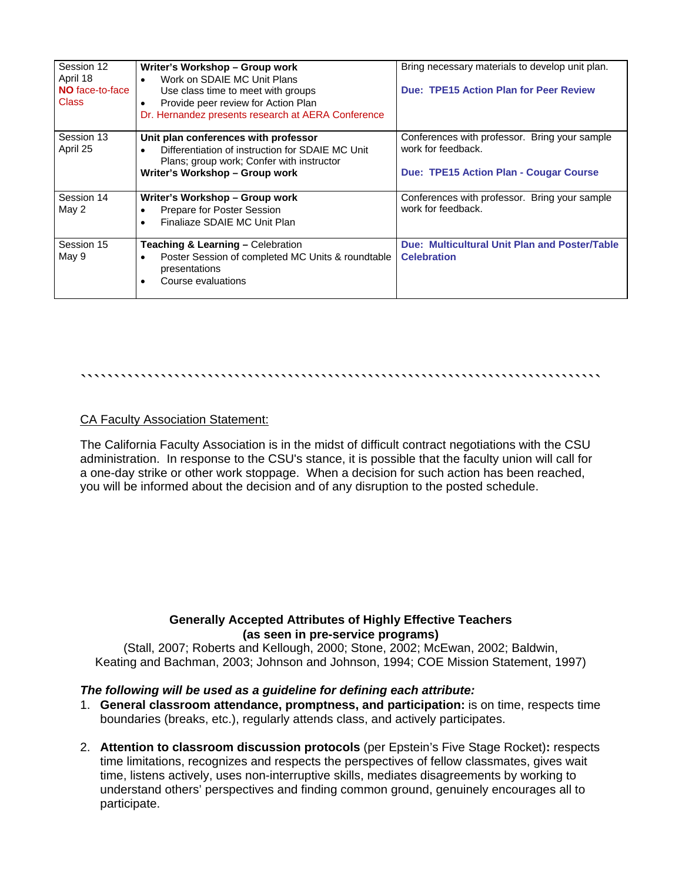| Session 12<br>April 18<br>NO face-to-face<br><b>Class</b> | Writer's Workshop - Group work<br>Work on SDAIE MC Unit Plans<br>$\bullet$<br>Use class time to meet with groups<br>Provide peer review for Action Plan<br>$\bullet$<br>Dr. Hernandez presents research at AERA Conference | Bring necessary materials to develop unit plan.<br>Due: TPE15 Action Plan for Peer Review                     |
|-----------------------------------------------------------|----------------------------------------------------------------------------------------------------------------------------------------------------------------------------------------------------------------------------|---------------------------------------------------------------------------------------------------------------|
| Session 13<br>April 25                                    | Unit plan conferences with professor<br>Differentiation of instruction for SDAIE MC Unit<br>$\bullet$<br>Plans; group work; Confer with instructor<br>Writer's Workshop - Group work                                       | Conferences with professor. Bring your sample<br>work for feedback.<br>Due: TPE15 Action Plan - Cougar Course |
| Session 14<br>May 2                                       | Writer's Workshop - Group work<br>Prepare for Poster Session<br>$\bullet$<br>Finaliaze SDAIE MC Unit Plan                                                                                                                  | Conferences with professor. Bring your sample<br>work for feedback.                                           |
| Session 15<br>May 9                                       | <b>Teaching &amp; Learning - Celebration</b><br>Poster Session of completed MC Units & roundtable<br>$\bullet$<br>presentations<br>Course evaluations                                                                      | Due: Multicultural Unit Plan and Poster/Table<br><b>Celebration</b>                                           |

#### ``````````````````````````````````````````````````````````````````````````````

## CA Faculty Association Statement:

The California Faculty Association is in the midst of difficult contract negotiations with the CSU administration. In response to the CSU's stance, it is possible that the faculty union will call for a one-day strike or other work stoppage. When a decision for such action has been reached, you will be informed about the decision and of any disruption to the posted schedule.

# **Generally Accepted Attributes of Highly Effective Teachers (as seen in pre-service programs)**

(Stall, 2007; Roberts and Kellough, 2000; Stone, 2002; McEwan, 2002; Baldwin, Keating and Bachman, 2003; Johnson and Johnson, 1994; COE Mission Statement, 1997)

#### *The following will be used as a guideline for defining each attribute:*

- 1. **General classroom attendance, promptness, and participation:** is on time, respects time boundaries (breaks, etc.), regularly attends class, and actively participates.
- 2. **Attention to classroom discussion protocols** (per Epstein's Five Stage Rocket)**:** respects time limitations, recognizes and respects the perspectives of fellow classmates, gives wait time, listens actively, uses non-interruptive skills, mediates disagreements by working to understand others' perspectives and finding common ground, genuinely encourages all to participate.